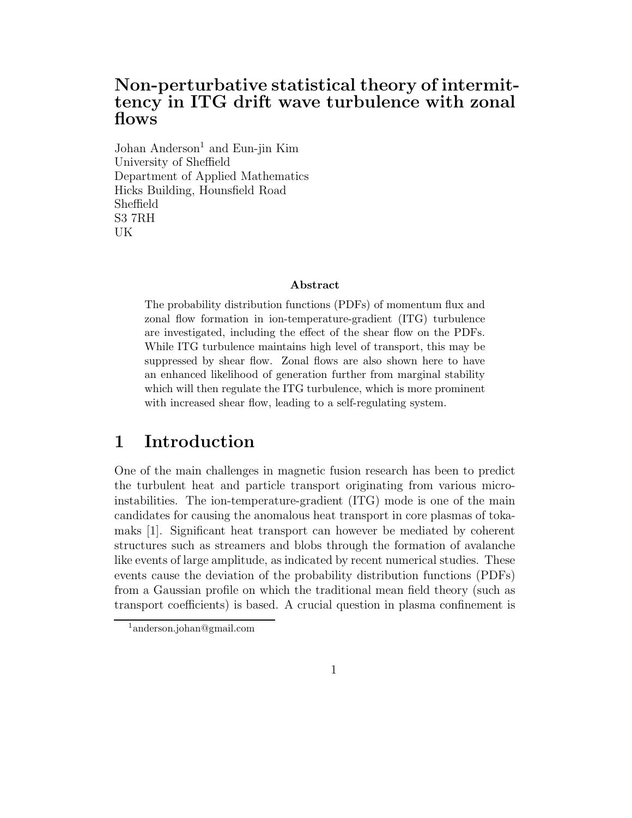### Non-perturbative statistical theory of intermittency in ITG drift wave turbulence with zonal flows

Johan Anderson<sup>1</sup> and Eun-jin Kim University of Sheffield Department of Applied Mathematics Hicks Building, Hounsfield Road Sheffield S3 7RH UK

#### Abstract

The probability distribution functions (PDFs) of momentum flux and zonal flow formation in ion-temperature-gradient (ITG) turbulence are investigated, including the effect of the shear flow on the PDFs. While ITG turbulence maintains high level of transport, this may be suppressed by shear flow. Zonal flows are also shown here to have an enhanced likelihood of generation further from marginal stability which will then regulate the ITG turbulence, which is more prominent with increased shear flow, leading to a self-regulating system.

### 1 Introduction

One of the main challenges in magnetic fusion research has been to predict the turbulent heat and particle transport originating from various microinstabilities. The ion-temperature-gradient (ITG) mode is one of the main candidates for causing the anomalous heat transport in core plasmas of tokamaks [1]. Significant heat transport can however be mediated by coherent structures such as streamers and blobs through the formation of avalanche like events of large amplitude, as indicated by recent numerical studies. These events cause the deviation of the probability distribution functions (PDFs) from a Gaussian profile on which the traditional mean field theory (such as transport coefficients) is based. A crucial question in plasma confinement is

<sup>1</sup>anderson.johan@gmail.com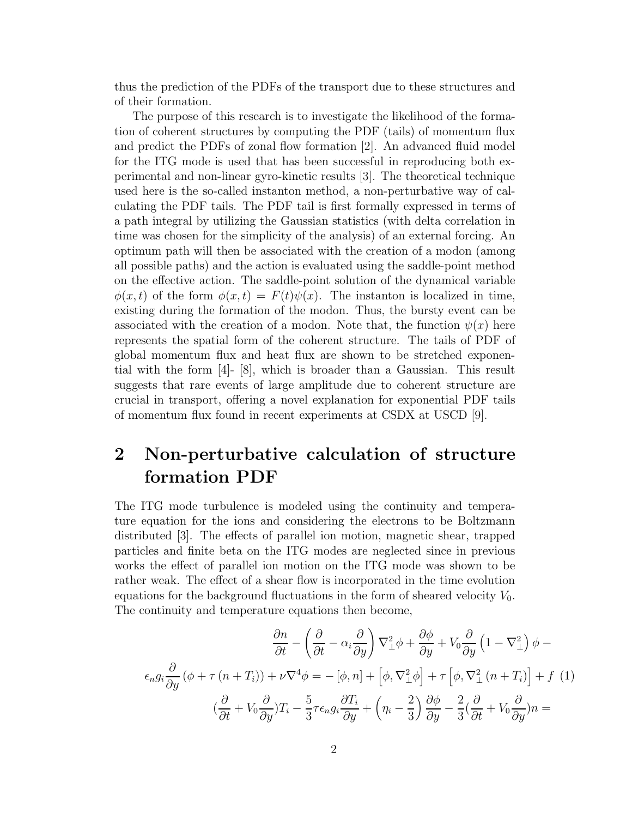thus the prediction of the PDFs of the transport due to these structures and of their formation.

The purpose of this research is to investigate the likelihood of the formation of coherent structures by computing the PDF (tails) of momentum flux and predict the PDFs of zonal flow formation [2]. An advanced fluid model for the ITG mode is used that has been successful in reproducing both experimental and non-linear gyro-kinetic results [3]. The theoretical technique used here is the so-called instanton method, a non-perturbative way of calculating the PDF tails. The PDF tail is first formally expressed in terms of a path integral by utilizing the Gaussian statistics (with delta correlation in time was chosen for the simplicity of the analysis) of an external forcing. An optimum path will then be associated with the creation of a modon (among all possible paths) and the action is evaluated using the saddle-point method on the effective action. The saddle-point solution of the dynamical variable  $\phi(x, t)$  of the form  $\phi(x, t) = F(t)\psi(x)$ . The instanton is localized in time, existing during the formation of the modon. Thus, the bursty event can be associated with the creation of a modon. Note that, the function  $\psi(x)$  here represents the spatial form of the coherent structure. The tails of PDF of global momentum flux and heat flux are shown to be stretched exponential with the form [4]- [8], which is broader than a Gaussian. This result suggests that rare events of large amplitude due to coherent structure are crucial in transport, offering a novel explanation for exponential PDF tails of momentum flux found in recent experiments at CSDX at USCD [9].

# 2 Non-perturbative calculation of structure formation PDF

The ITG mode turbulence is modeled using the continuity and temperature equation for the ions and considering the electrons to be Boltzmann distributed [3]. The effects of parallel ion motion, magnetic shear, trapped particles and finite beta on the ITG modes are neglected since in previous works the effect of parallel ion motion on the ITG mode was shown to be rather weak. The effect of a shear flow is incorporated in the time evolution equations for the background fluctuations in the form of sheared velocity  $V_0$ . The continuity and temperature equations then become,

$$
\frac{\partial n}{\partial t} - \left(\frac{\partial}{\partial t} - \alpha_i \frac{\partial}{\partial y}\right) \nabla_{\perp}^2 \phi + \frac{\partial \phi}{\partial y} + V_0 \frac{\partial}{\partial y} \left(1 - \nabla_{\perp}^2\right) \phi - \epsilon_n g_i \frac{\partial}{\partial y} \left(\phi + \tau (n + T_i)\right) + \nu \nabla^4 \phi = -\left[\phi, n\right] + \left[\phi, \nabla_{\perp}^2 \phi\right] + \tau \left[\phi, \nabla_{\perp}^2 (n + T_i)\right] + f \tag{1}
$$

$$
\left(\frac{\partial}{\partial t} + V_0 \frac{\partial}{\partial y}\right) T_i - \frac{5}{3} \tau \epsilon_n g_i \frac{\partial T_i}{\partial y} + \left(\eta_i - \frac{2}{3}\right) \frac{\partial \phi}{\partial y} - \frac{2}{3} \left(\frac{\partial}{\partial t} + V_0 \frac{\partial}{\partial y}\right) n =
$$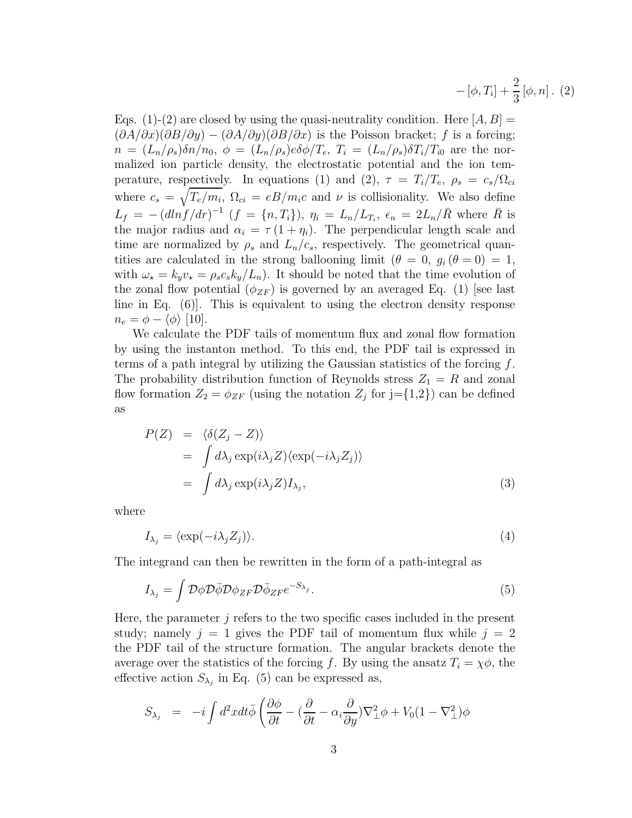$$
- [\phi, T_i] + \frac{2}{3} [\phi, n]. (2)
$$

Eqs. (1)-(2) are closed by using the quasi-neutrality condition. Here  $[A, B] =$  $(\partial A/\partial x)(\partial B/\partial y) - (\partial A/\partial y)(\partial B/\partial x)$  is the Poisson bracket; f is a forcing;  $n = (L_n/\rho_s)\delta n/n_0, \phi = (L_n/\rho_s)e\delta\phi/T_e, T_i = (L_n/\rho_s)\delta T_i/T_{i0}$  are the normalized ion particle density, the electrostatic potential and the ion temperature, respectively. In equations (1) and (2),  $\tau = T_i/T_e$ ,  $\rho_s = c_s/\Omega_{ci}$ where  $c_s = \sqrt{T_e/m_i}$ ,  $\Omega_{ci} = eB/m_ic$  and  $\nu$  is collisionality. We also define  $L_f = -(dln f/dr)^{-1}$   $(f = \{n, T_i\}), \eta_i = L_n/L_{T_i}, \epsilon_n = 2L_n/\bar{R}$  where  $\bar{R}$  is the major radius and  $\alpha_i = \tau (1 + \eta_i)$ . The perpendicular length scale and time are normalized by  $\rho_s$  and  $L_n/c_s$ , respectively. The geometrical quantities are calculated in the strong ballooning limit  $(\theta = 0, g_i (\theta = 0) = 1,$ with  $\omega_{\star} = k_y v_{\star} = \rho_s c_s k_y/L_n$ . It should be noted that the time evolution of the zonal flow potential  $(\phi_{ZF})$  is governed by an averaged Eq. (1) [see last line in Eq. (6)]. This is equivalent to using the electron density response  $n_e = \phi - \langle \phi \rangle$  [10].

We calculate the PDF tails of momentum flux and zonal flow formation by using the instanton method. To this end, the PDF tail is expressed in terms of a path integral by utilizing the Gaussian statistics of the forcing  $f$ . The probability distribution function of Reynolds stress  $Z_1 = R$  and zonal flow formation  $Z_2 = \phi_{ZF}$  (using the notation  $Z_j$  for  $j = \{1,2\}$ ) can be defined as

$$
P(Z) = \langle \delta(Z_j - Z) \rangle
$$
  
=  $\int d\lambda_j \exp(i\lambda_j Z) \langle \exp(-i\lambda_j Z_j) \rangle$   
=  $\int d\lambda_j \exp(i\lambda_j Z) I_{\lambda_j},$  (3)

where

$$
I_{\lambda_j} = \langle \exp(-i\lambda_j Z_j) \rangle. \tag{4}
$$

The integrand can then be rewritten in the form of a path-integral as

$$
I_{\lambda_j} = \int \mathcal{D}\phi \mathcal{D}\bar{\phi} \mathcal{D}\phi_{ZF} \mathcal{D}\bar{\phi}_{ZF} e^{-S_{\lambda_j}}.
$$
 (5)

Here, the parameter  $j$  refers to the two specific cases included in the present study; namely  $j = 1$  gives the PDF tail of momentum flux while  $j = 2$ the PDF tail of the structure formation. The angular brackets denote the average over the statistics of the forcing f. By using the ansatz  $T_i = \chi \phi$ , the effective action  $S_{\lambda_j}$  in Eq. (5) can be expressed as,

$$
S_{\lambda_j} = -i \int d^2x dt \bar{\phi} \left( \frac{\partial \phi}{\partial t} - (\frac{\partial}{\partial t} - \alpha_i \frac{\partial}{\partial y}) \nabla_{\perp}^2 \phi + V_0 (1 - \nabla_{\perp}^2) \phi \right)
$$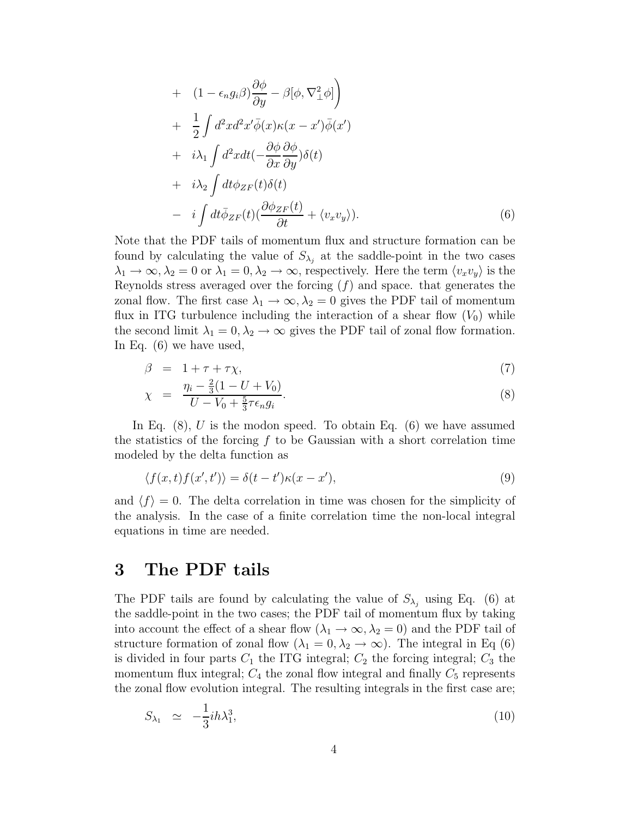+ 
$$
(1 - \epsilon_n g_i \beta) \frac{\partial \phi}{\partial y} - \beta [\phi, \nabla^2_{\perp} \phi]
$$
  
\n+  $\frac{1}{2} \int d^2x d^2x' \bar{\phi}(x) \kappa(x - x') \bar{\phi}(x')$   
\n+  $i\lambda_1 \int d^2x dt (-\frac{\partial \phi}{\partial x} \frac{\partial \phi}{\partial y}) \delta(t)$   
\n+  $i\lambda_2 \int dt \phi_{ZF}(t) \delta(t)$   
\n-  $i \int dt \bar{\phi}_{ZF}(t) (\frac{\partial \phi_{ZF}(t)}{\partial t} + \langle v_x v_y \rangle).$  (6)

Note that the PDF tails of momentum flux and structure formation can be found by calculating the value of  $S_{\lambda_j}$  at the saddle-point in the two cases  $\lambda_1 \to \infty, \lambda_2 = 0$  or  $\lambda_1 = 0, \lambda_2 \to \infty$ , respectively. Here the term  $\langle v_x v_y \rangle$  is the Reynolds stress averaged over the forcing  $(f)$  and space. that generates the zonal flow. The first case  $\lambda_1 \rightarrow \infty$ ,  $\lambda_2 = 0$  gives the PDF tail of momentum flux in ITG turbulence including the interaction of a shear flow  $(V_0)$  while the second limit  $\lambda_1 = 0, \lambda_2 \to \infty$  gives the PDF tail of zonal flow formation. In Eq. (6) we have used,

$$
\beta = 1 + \tau + \tau \chi,\tag{7}
$$

$$
\chi = \frac{\eta_i - \frac{2}{3}(1 - U + V_0)}{U - V_0 + \frac{5}{3}\tau \epsilon_n g_i}.
$$
\n(8)

In Eq.  $(8)$ , U is the modon speed. To obtain Eq.  $(6)$  we have assumed the statistics of the forcing  $f$  to be Gaussian with a short correlation time modeled by the delta function as

$$
\langle f(x,t)f(x',t')\rangle = \delta(t-t')\kappa(x-x'),\tag{9}
$$

and  $\langle f \rangle = 0$ . The delta correlation in time was chosen for the simplicity of the analysis. In the case of a finite correlation time the non-local integral equations in time are needed.

### 3 The PDF tails

The PDF tails are found by calculating the value of  $S_{\lambda_i}$  using Eq. (6) at the saddle-point in the two cases; the PDF tail of momentum flux by taking into account the effect of a shear flow  $(\lambda_1 \to \infty, \lambda_2 = 0)$  and the PDF tail of structure formation of zonal flow  $(\lambda_1 = 0, \lambda_2 \to \infty)$ . The integral in Eq (6) is divided in four parts  $C_1$  the ITG integral;  $C_2$  the forcing integral;  $C_3$  the momentum flux integral;  $C_4$  the zonal flow integral and finally  $C_5$  represents the zonal flow evolution integral. The resulting integrals in the first case are;

$$
S_{\lambda_1} \simeq -\frac{1}{3}ih\lambda_1^3,\tag{10}
$$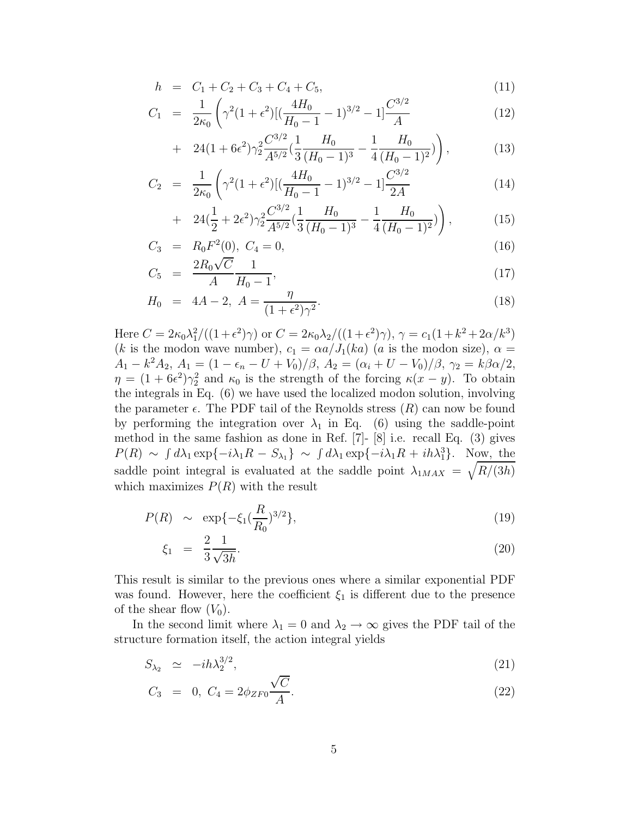$$
h = C_1 + C_2 + C_3 + C_4 + C_5, \tag{11}
$$

$$
C_1 = \frac{1}{2\kappa_0} \left( \gamma^2 (1 + \epsilon^2) \left[ \left( \frac{4H_0}{H_0 - 1} - 1 \right)^{3/2} - 1 \right] \frac{C^{3/2}}{A} \right) \tag{12}
$$

+ 
$$
24(1+6\epsilon^2)\gamma_2^2 \frac{C^{3/2}}{A^{5/2}} \left(\frac{1}{3} \frac{H_0}{(H_0-1)^3} - \frac{1}{4} \frac{H_0}{(H_0-1)^2}\right)
$$
, (13)

$$
C_2 = \frac{1}{2\kappa_0} \left( \gamma^2 (1 + \epsilon^2) \left[ \left( \frac{4H_0}{H_0 - 1} - 1 \right)^{3/2} - 1 \right] \frac{C^{3/2}}{2A} \right) \tag{14}
$$

+ 
$$
24(\frac{1}{2} + 2\epsilon^2)\gamma_2^2 \frac{C^{3/2}}{A^{5/2}}(\frac{1}{3}\frac{H_0}{(H_0 - 1)^3} - \frac{1}{4}\frac{H_0}{(H_0 - 1)^2})
$$
), (15)

$$
C_3 = R_0 F^2(0), C_4 = 0,
$$
\n
$$
(16)
$$

$$
C_5 = \frac{2R_0\sqrt{C}}{A} \frac{1}{H_0 - 1},\tag{17}
$$

$$
H_0 = 4A - 2, A = \frac{\eta}{(1 + \epsilon^2)\gamma^2}.
$$
\n(18)

Here  $C = 2\kappa_0 \lambda_1^2 / ((1+\epsilon^2)\gamma)$  or  $C = 2\kappa_0 \lambda_2 / ((1+\epsilon^2)\gamma)$ ,  $\gamma = c_1 (1+k^2+2\alpha/k^3)$ (k is the modon wave number),  $c_1 = \alpha a / J_1(ka)$  (a is the modon size),  $\alpha =$  $A_1 - k^2 A_2, A_1 = (1 - \epsilon_n - U + V_0)/\beta, A_2 = (\alpha_i + U - V_0)/\beta, \gamma_2 = k\beta\alpha/2,$  $\eta = (1 + 6\epsilon^2)\gamma_2^2$  and  $\kappa_0$  is the strength of the forcing  $\kappa(x - y)$ . To obtain the integrals in Eq. (6) we have used the localized modon solution, involving the parameter  $\epsilon$ . The PDF tail of the Reynolds stress  $(R)$  can now be found by performing the integration over  $\lambda_1$  in Eq. (6) using the saddle-point method in the same fashion as done in Ref. [7]- [8] i.e. recall Eq. (3) gives  $P(R) \sim \int d\lambda_1 \exp\{-i\lambda_1 R - S_{\lambda_1}\} \sim \int d\lambda_1 \exp\{-i\lambda_1 R + ih\lambda_1^3\}$ . Now, the saddle point integral is evaluated at the saddle point  $\lambda_{1MAX} = \sqrt{R/(3h)}$ which maximizes  $P(R)$  with the result

$$
P(R) \sim \exp\{-\xi_1(\frac{R}{R_0})^{3/2}\},\tag{19}
$$

$$
\xi_1 = \frac{2}{3} \frac{1}{\sqrt{3h}}.\tag{20}
$$

This result is similar to the previous ones where a similar exponential PDF was found. However, here the coefficient  $\xi_1$  is different due to the presence of the shear flow  $(V_0)$ .

In the second limit where  $\lambda_1 = 0$  and  $\lambda_2 \rightarrow \infty$  gives the PDF tail of the structure formation itself, the action integral yields

$$
S_{\lambda_2} \simeq -ih\lambda_2^{3/2},\tag{21}
$$

$$
C_3 = 0, C_4 = 2\phi_{ZF0} \frac{\sqrt{C}}{A}.
$$
\n(22)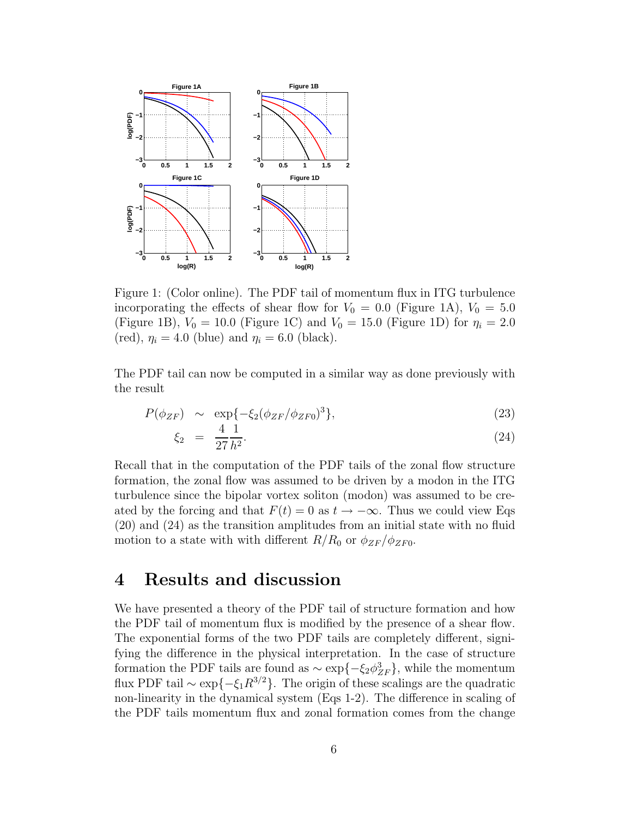

Figure 1: (Color online). The PDF tail of momentum flux in ITG turbulence incorporating the effects of shear flow for  $V_0 = 0.0$  (Figure 1A),  $V_0 = 5.0$ (Figure 1B),  $V_0 = 10.0$  (Figure 1C) and  $V_0 = 15.0$  (Figure 1D) for  $\eta_i = 2.0$ (red),  $\eta_i = 4.0$  (blue) and  $\eta_i = 6.0$  (black).

The PDF tail can now be computed in a similar way as done previously with the result

$$
P(\phi_{ZF}) \sim \exp\{-\xi_2(\phi_{ZF}/\phi_{ZF0})^3\},\tag{23}
$$

$$
\xi_2 = \frac{4}{27} \frac{1}{h^2}.
$$
\n(24)

Recall that in the computation of the PDF tails of the zonal flow structure formation, the zonal flow was assumed to be driven by a modon in the ITG turbulence since the bipolar vortex soliton (modon) was assumed to be created by the forcing and that  $F(t) = 0$  as  $t \to -\infty$ . Thus we could view Eqs (20) and (24) as the transition amplitudes from an initial state with no fluid motion to a state with with different  $R/R_0$  or  $\phi_{ZF}/\phi_{ZF0}$ .

### 4 Results and discussion

We have presented a theory of the PDF tail of structure formation and how the PDF tail of momentum flux is modified by the presence of a shear flow. The exponential forms of the two PDF tails are completely different, signifying the difference in the physical interpretation. In the case of structure formation the PDF tails are found as  $\sim \exp\{-\xi_2 \phi_{ZF}^3\}$ , while the momentum flux PDF tail  $\sim \exp\{-\xi_1 R^{3/2}\}\.$  The origin of these scalings are the quadratic non-linearity in the dynamical system (Eqs 1-2). The difference in scaling of the PDF tails momentum flux and zonal formation comes from the change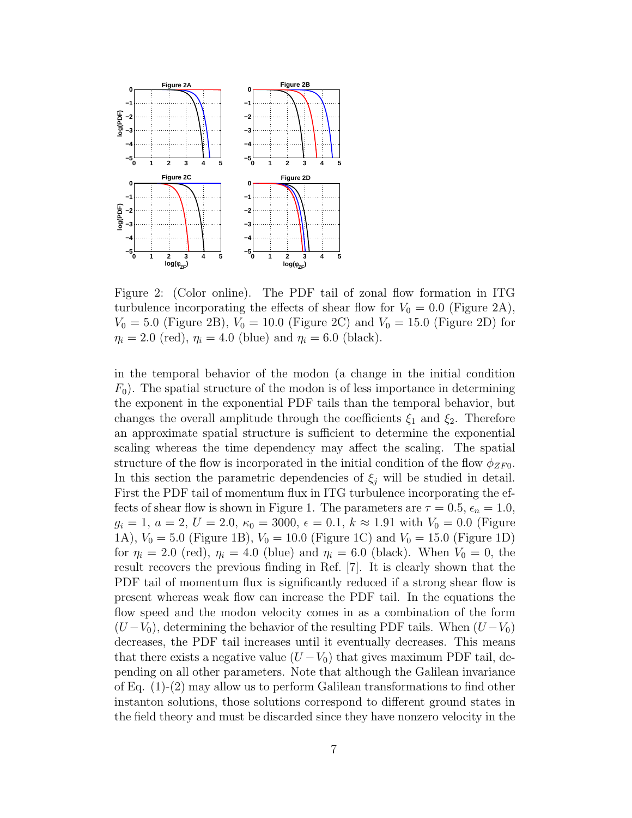

Figure 2: (Color online). The PDF tail of zonal flow formation in ITG turbulence incorporating the effects of shear flow for  $V_0 = 0.0$  (Figure 2A),  $V_0 = 5.0$  (Figure 2B),  $V_0 = 10.0$  (Figure 2C) and  $V_0 = 15.0$  (Figure 2D) for  $\eta_i = 2.0 \text{ (red)}, \eta_i = 4.0 \text{ (blue)} \text{ and } \eta_i = 6.0 \text{ (black)}.$ 

in the temporal behavior of the modon (a change in the initial condition  $F_0$ ). The spatial structure of the modon is of less importance in determining the exponent in the exponential PDF tails than the temporal behavior, but changes the overall amplitude through the coefficients  $\xi_1$  and  $\xi_2$ . Therefore an approximate spatial structure is sufficient to determine the exponential scaling whereas the time dependency may affect the scaling. The spatial structure of the flow is incorporated in the initial condition of the flow  $\phi_{ZF0}$ . In this section the parametric dependencies of  $\xi_j$  will be studied in detail. First the PDF tail of momentum flux in ITG turbulence incorporating the effects of shear flow is shown in Figure 1. The parameters are  $\tau = 0.5$ ,  $\epsilon_n = 1.0$ ,  $g_i = 1, a = 2, U = 2.0, \kappa_0 = 3000, \epsilon = 0.1, k \approx 1.91$  with  $V_0 = 0.0$  (Figure 1A),  $V_0 = 5.0$  (Figure 1B),  $V_0 = 10.0$  (Figure 1C) and  $V_0 = 15.0$  (Figure 1D) for  $\eta_i = 2.0$  (red),  $\eta_i = 4.0$  (blue) and  $\eta_i = 6.0$  (black). When  $V_0 = 0$ , the result recovers the previous finding in Ref. [7]. It is clearly shown that the PDF tail of momentum flux is significantly reduced if a strong shear flow is present whereas weak flow can increase the PDF tail. In the equations the flow speed and the modon velocity comes in as a combination of the form  $(U - V_0)$ , determining the behavior of the resulting PDF tails. When  $(U - V_0)$ decreases, the PDF tail increases until it eventually decreases. This means that there exists a negative value  $(U - V_0)$  that gives maximum PDF tail, depending on all other parameters. Note that although the Galilean invariance of Eq. (1)-(2) may allow us to perform Galilean transformations to find other instanton solutions, those solutions correspond to different ground states in the field theory and must be discarded since they have nonzero velocity in the